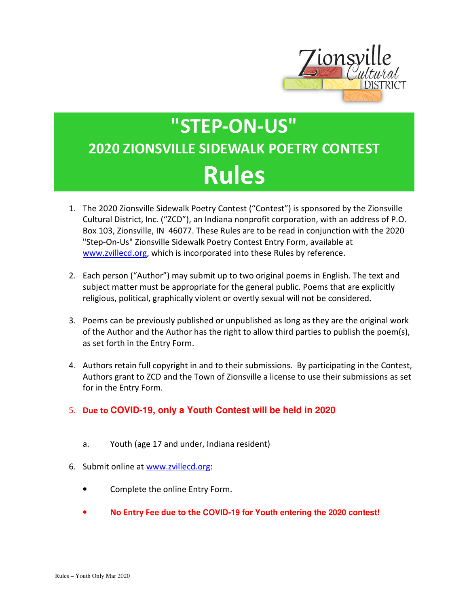

## **"STEP-ON-US" 2020 ZIONSVILLE SIDEWALK POETRY CONTEST Rules**

- 1. The 2020 Zionsville Sidewalk Poetry Contest ("Contest") is sponsored by the Zionsville Cultural District, Inc. ("ZCD"), an Indiana nonprofit corporation, with an address of P.O. Box 103, Zionsville, IN 46077. These Rules are to be read in conjunction with the 2020 "Step-On-Us" Zionsville Sidewalk Poetry Contest Entry Form, available at www.zvillecd.org, which is incorporated into these Rules by reference.
- 2. Each person ("Author") may submit up to two original poems in English. The text and subject matter must be appropriate for the general public. Poems that are explicitly religious, political, graphically violent or overtly sexual will not be considered.
- 3. Poems can be previously published or unpublished as long as they are the original work of the Author and the Author has the right to allow third parties to publish the poem(s), as set forth in the Entry Form.
- 4. Authors retain full copyright in and to their submissions. By participating in the Contest, Authors grant to ZCD and the Town of Zionsville a license to use their submissions as set for in the Entry Form.
- 5. **Due to COVID-19, only a Youth Contest will be held in 2020**
	- a. Youth (age 17 and under, Indiana resident)
- 6. Submit online at www.zvillecd.org:
	- Complete the online Entry Form.
	- **No Entry Fee due to the COVID-19 for Youth entering the 2020 contest!**